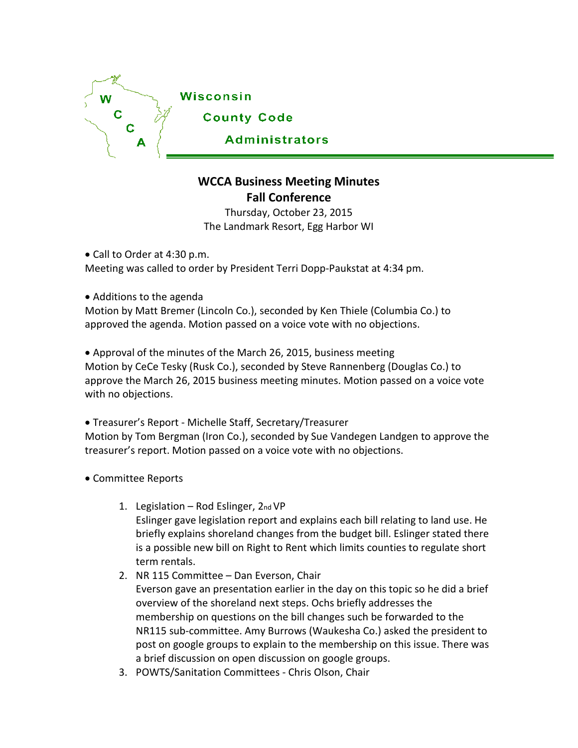

## **WCCA Business Meeting Minutes Fall Conference**

Thursday, October 23, 2015 The Landmark Resort, Egg Harbor WI

• Call to Order at 4:30 p.m. Meeting was called to order by President Terri Dopp-Paukstat at 4:34 pm.

• Additions to the agenda

Motion by Matt Bremer (Lincoln Co.), seconded by Ken Thiele (Columbia Co.) to approved the agenda. Motion passed on a voice vote with no objections.

• Approval of the minutes of the March 26, 2015, business meeting Motion by CeCe Tesky (Rusk Co.), seconded by Steve Rannenberg (Douglas Co.) to approve the March 26, 2015 business meeting minutes. Motion passed on a voice vote with no objections.

• Treasurer's Report - Michelle Staff, Secretary/Treasurer Motion by Tom Bergman (Iron Co.), seconded by Sue Vandegen Landgen to approve the treasurer's report. Motion passed on a voice vote with no objections.

- Committee Reports
	- 1. Legislation  $-$  Rod Eslinger,  $2<sub>nd</sub>VP$ Eslinger gave legislation report and explains each bill relating to land use. He briefly explains shoreland changes from the budget bill. Eslinger stated there is a possible new bill on Right to Rent which limits counties to regulate short term rentals.
	- 2. NR 115 Committee Dan Everson, Chair Everson gave an presentation earlier in the day on this topic so he did a brief overview of the shoreland next steps. Ochs briefly addresses the membership on questions on the bill changes such be forwarded to the NR115 sub-committee. Amy Burrows (Waukesha Co.) asked the president to post on google groups to explain to the membership on this issue. There was a brief discussion on open discussion on google groups.
	- 3. POWTS/Sanitation Committees Chris Olson, Chair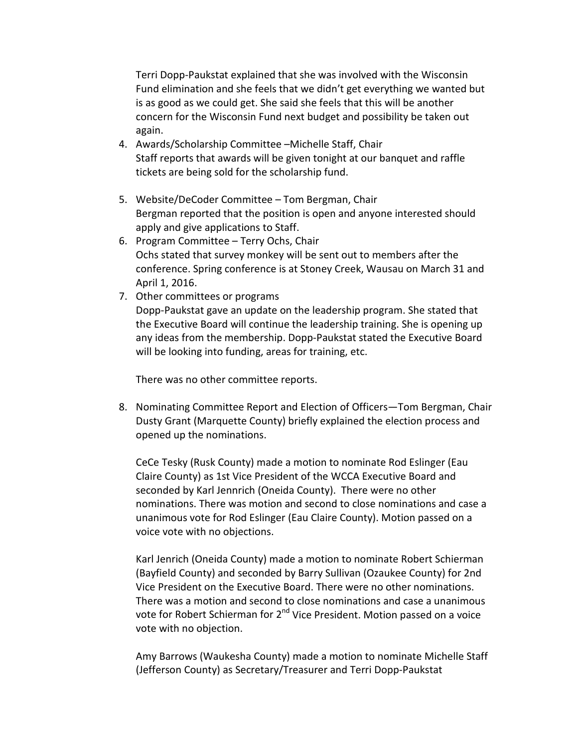Terri Dopp-Paukstat explained that she was involved with the Wisconsin Fund elimination and she feels that we didn't get everything we wanted but is as good as we could get. She said she feels that this will be another concern for the Wisconsin Fund next budget and possibility be taken out again.

- 4. Awards/Scholarship Committee –Michelle Staff, Chair Staff reports that awards will be given tonight at our banquet and raffle tickets are being sold for the scholarship fund.
- 5. Website/DeCoder Committee Tom Bergman, Chair Bergman reported that the position is open and anyone interested should apply and give applications to Staff.
- 6. Program Committee Terry Ochs, Chair Ochs stated that survey monkey will be sent out to members after the conference. Spring conference is at Stoney Creek, Wausau on March 31 and April 1, 2016.
- 7. Other committees or programs Dopp-Paukstat gave an update on the leadership program. She stated that the Executive Board will continue the leadership training. She is opening up any ideas from the membership. Dopp-Paukstat stated the Executive Board will be looking into funding, areas for training, etc.

There was no other committee reports.

8. Nominating Committee Report and Election of Officers—Tom Bergman, Chair Dusty Grant (Marquette County) briefly explained the election process and opened up the nominations.

CeCe Tesky (Rusk County) made a motion to nominate Rod Eslinger (Eau Claire County) as 1st Vice President of the WCCA Executive Board and seconded by Karl Jennrich (Oneida County). There were no other nominations. There was motion and second to close nominations and case a unanimous vote for Rod Eslinger (Eau Claire County). Motion passed on a voice vote with no objections.

Karl Jenrich (Oneida County) made a motion to nominate Robert Schierman (Bayfield County) and seconded by Barry Sullivan (Ozaukee County) for 2nd Vice President on the Executive Board. There were no other nominations. There was a motion and second to close nominations and case a unanimous vote for Robert Schierman for 2<sup>nd</sup> Vice President. Motion passed on a voice vote with no objection.

Amy Barrows (Waukesha County) made a motion to nominate Michelle Staff (Jefferson County) as Secretary/Treasurer and Terri Dopp-Paukstat